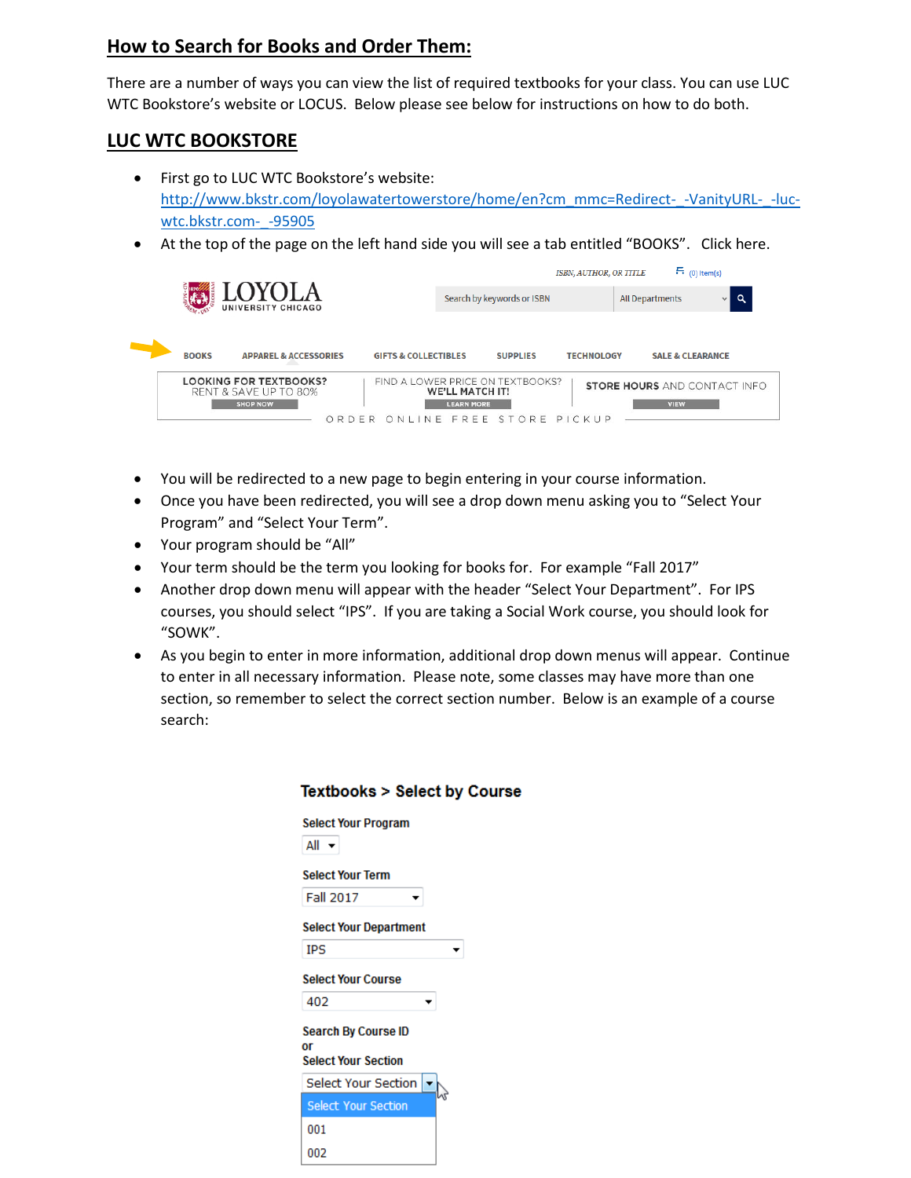## **How to Search for Books and Order Them:**

There are a number of ways you can view the list of required textbooks for your class. You can use LUC WTC Bookstore's website or LOCUS. Below please see below for instructions on how to do both.

## **LUC WTC BOOKSTORE**

- First go to LUC WTC Bookstore's website: [http://www.bkstr.com/loyolawatertowerstore/home/en?cm\\_mmc=Redirect-\\_-VanityURL-\\_-luc](http://www.bkstr.com/loyolawatertowerstore/home/en?cm_mmc=Redirect-_-VanityURL-_-luc-wtc.bkstr.com-_-95905)[wtc.bkstr.com-\\_-95905](http://www.bkstr.com/loyolawatertowerstore/home/en?cm_mmc=Redirect-_-VanityURL-_-luc-wtc.bkstr.com-_-95905)
- At the top of the page on the left hand side you will see a tab entitled "BOOKS". Click here.



- You will be redirected to a new page to begin entering in your course information.
- Once you have been redirected, you will see a drop down menu asking you to "Select Your Program" and "Select Your Term".
- Your program should be "All"
- Your term should be the term you looking for books for. For example "Fall 2017"

**Textbooks > Select by Course** 

- Another drop down menu will appear with the header "Select Your Department". For IPS courses, you should select "IPS". If you are taking a Social Work course, you should look for "SOWK".
- As you begin to enter in more information, additional drop down menus will appear. Continue to enter in all necessary information. Please note, some classes may have more than one section, so remember to select the correct section number. Below is an example of a course search:

| <b>Select Your Program</b>                                     |  |
|----------------------------------------------------------------|--|
| All ▼                                                          |  |
| <b>Select Your Term</b>                                        |  |
| <b>Fall 2017</b>                                               |  |
| <b>Select Your Department</b>                                  |  |
| IPS                                                            |  |
| <b>Select Your Course</b>                                      |  |
| 402                                                            |  |
| <b>Search By Course ID</b><br>٥r<br><b>Select Your Section</b> |  |
| Select Your Section                                            |  |
| <b>Select Your Section</b>                                     |  |
| 001                                                            |  |
| 002                                                            |  |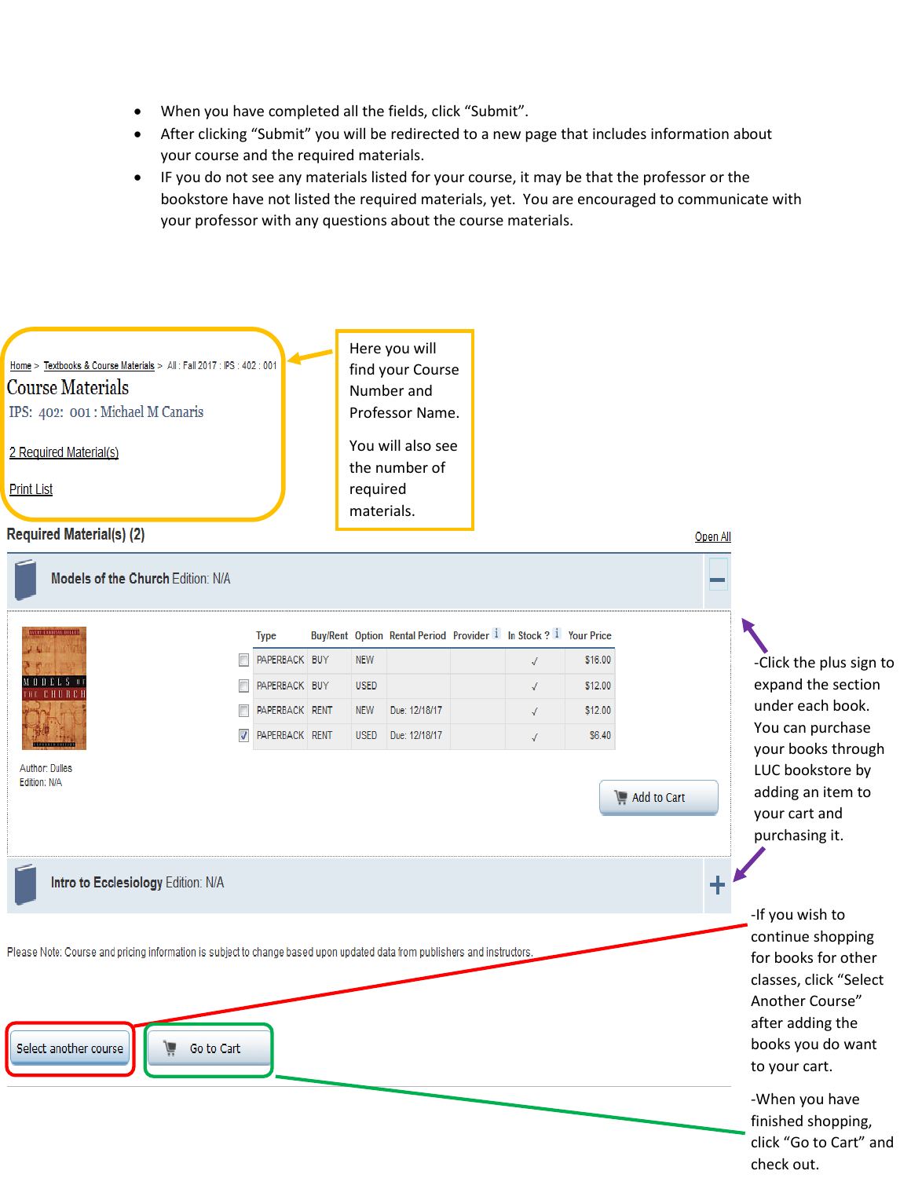- When you have completed all the fields, click "Submit".
- After clicking "Submit" you will be redirected to a new page that includes information about your course and the required materials.
- IF you do not see any materials listed for your course, it may be that the professor or the bookstore have not listed the required materials, yet. You are encouraged to communicate with your professor with any questions about the course materials.